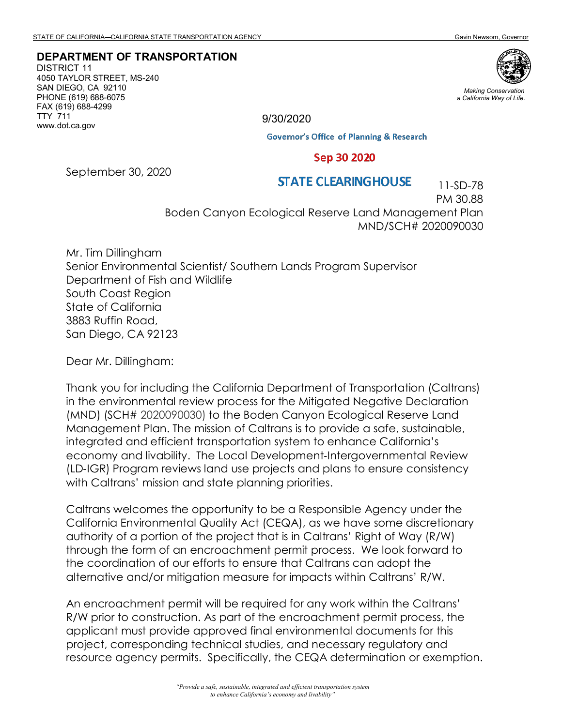# **DEPARTMENT OF TRANSPORTATION**

DISTRICT 11 4050 TAYLOR STREET, MS-240 SAN DIEGO, CA 92110 PHONE (619) 688-6075 FAX (619) 688-4299 TTY 711 www.dot.ca.gov



*Making Conservation a California Way of Life.*

9/30/2020

**Governor's Office of Planning & Research** 

#### Sep 30 2020

September 30, 2020

#### **STATE CLEARING HOUSE**

 11-SD-78 PM 30.88

Boden Canyon Ecological Reserve Land Management Plan MND/SCH# 2020090030

Mr. Tim Dillingham Senior Environmental Scientist/ Southern Lands Program Supervisor Department of Fish and Wildlife South Coast Region State of California 3883 Ruffin Road, San Diego, CA 92123

Dear Mr. Dillingham:

Thank you for including the California Department of Transportation (Caltrans) in the environmental review process for the Mitigated Negative Declaration (MND) (SCH# 2020090030) to the Boden Canyon Ecological Reserve Land Management Plan. The mission of Caltrans is to provide a safe, sustainable, integrated and efficient transportation system to enhance California's economy and livability. The Local Development‐Intergovernmental Review (LD‐IGR) Program reviews land use projects and plans to ensure consistency with Caltrans' mission and state planning priorities.

Caltrans welcomes the opportunity to be a Responsible Agency under the California Environmental Quality Act (CEQA), as we have some discretionary authority of a portion of the project that is in Caltrans' Right of Way (R/W) through the form of an encroachment permit process. We look forward to the coordination of our efforts to ensure that Caltrans can adopt the alternative and/or mitigation measure for impacts within Caltrans' R/W.

An encroachment permit will be required for any work within the Caltrans' R/W prior to construction. As part of the encroachment permit process, the applicant must provide approved final environmental documents for this project, corresponding technical studies, and necessary regulatory and resource agency permits. Specifically, the CEQA determination or exemption.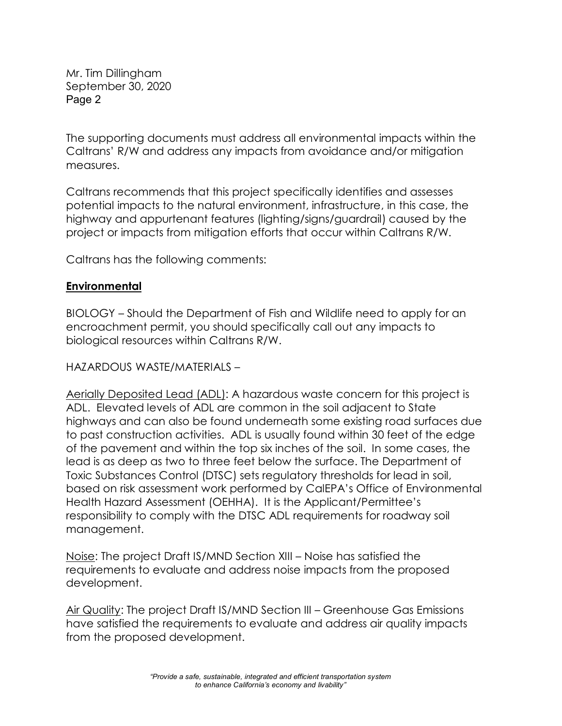Mr. Tim Dillingham September 30, 2020 Page 2

The supporting documents must address all environmental impacts within the Caltrans' R/W and address any impacts from avoidance and/or mitigation measures.

Caltrans recommends that this project specifically identifies and assesses potential impacts to the natural environment, infrastructure, in this case, the highway and appurtenant features (lighting/signs/guardrail) caused by the project or impacts from mitigation efforts that occur within Caltrans R/W.

Caltrans has the following comments:

## **Environmental**

BIOLOGY – Should the Department of Fish and Wildlife need to apply for an encroachment permit, you should specifically call out any impacts to biological resources within Caltrans R/W.

HAZARDOUS WASTE/MATERIALS –

Aerially Deposited Lead (ADL): A hazardous waste concern for this project is ADL. Elevated levels of ADL are common in the soil adjacent to State highways and can also be found underneath some existing road surfaces due to past construction activities. ADL is usually found within 30 feet of the edge of the pavement and within the top six inches of the soil. In some cases, the lead is as deep as two to three feet below the surface. The Department of Toxic Substances Control (DTSC) sets regulatory thresholds for lead in soil, based on risk assessment work performed by CalEPA's Office of Environmental Health Hazard Assessment (OEHHA). It is the Applicant/Permittee's responsibility to comply with the DTSC ADL requirements for roadway soil management.

Noise: The project Draft IS/MND Section XIII – Noise has satisfied the requirements to evaluate and address noise impacts from the proposed development.

Air Quality: The project Draft IS/MND Section III – Greenhouse Gas Emissions have satisfied the requirements to evaluate and address air quality impacts from the proposed development.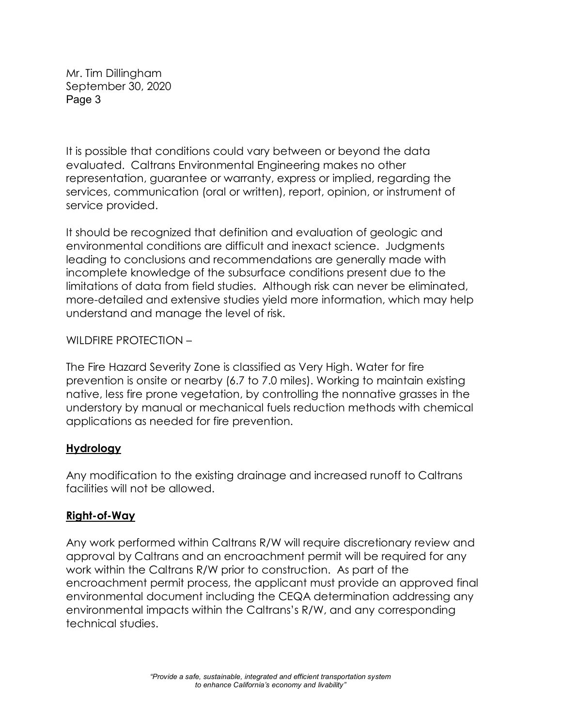Mr. Tim Dillingham September 30, 2020 Page 3

It is possible that conditions could vary between or beyond the data evaluated. Caltrans Environmental Engineering makes no other representation, guarantee or warranty, express or implied, regarding the services, communication (oral or written), report, opinion, or instrument of service provided.

It should be recognized that definition and evaluation of geologic and environmental conditions are difficult and inexact science. Judgments leading to conclusions and recommendations are generally made with incomplete knowledge of the subsurface conditions present due to the limitations of data from field studies. Although risk can never be eliminated, more-detailed and extensive studies yield more information, which may help understand and manage the level of risk.

WILDFIRE PROTECTION –

The Fire Hazard Severity Zone is classified as Very High. Water for fire prevention is onsite or nearby (6.7 to 7.0 miles). Working to maintain existing native, less fire prone vegetation, by controlling the nonnative grasses in the understory by manual or mechanical fuels reduction methods with chemical applications as needed for fire prevention.

## **Hydrology**

Any modification to the existing drainage and increased runoff to Caltrans facilities will not be allowed.

## **Right-of-Way**

Any work performed within Caltrans R/W will require discretionary review and approval by Caltrans and an encroachment permit will be required for any work within the Caltrans R/W prior to construction. As part of the encroachment permit process, the applicant must provide an approved final environmental document including the CEQA determination addressing any environmental impacts within the Caltrans's R/W, and any corresponding technical studies.